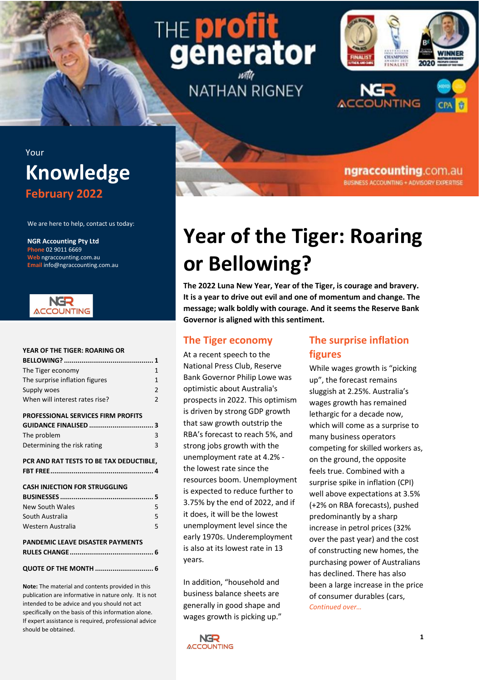# THE **prot** generator **NATHAN RIGNEY**



ngraccounting.com.au **BUSINESS ACCOUNTING + ADVISORY EXPERTISE** 

# Your **Knowledge February 2022**

We are here to help, contact us today:

**NGR Accounting Pty Ltd Phone** 02 9011 6669 **Web** ngraccounting.com.au **Email** info@ngraccounting.com.au



#### **[YEAR OF THE TIGER: ROARING OR](#page-0-0)**

| The Tiger economy                         | 1              |
|-------------------------------------------|----------------|
| The surprise inflation figures            | $\mathbf{1}$   |
| Supply woes                               | $\overline{2}$ |
| When will interest rates rise?            | $\overline{2}$ |
| <b>PROFESSIONAL SERVICES FIRM PROFITS</b> |                |
|                                           |                |
| The problem                               | 3              |
| Determining the risk rating               | 3              |
| PCR AND RAT TESTS TO BE TAX DEDUCTIBLE,   |                |
|                                           |                |
| <b>CASH INJECTION FOR STRUGGLING</b>      |                |
|                                           |                |
| <b>New South Wales</b>                    | 5              |
| South Australia                           | 5              |
| Western Australia                         | 5              |
| <b>PANDEMIC LEAVE DISASTER PAYMENTS</b>   |                |
|                                           |                |
|                                           |                |
| QUOTE OF THE MONTH  6                     |                |

**Note:** The material and contents provided in this publication are informative in nature only. It is not intended to be advice and you should not act specifically on the basis of this information alone. If expert assistance is required, professional advice should be obtained.

# <span id="page-0-0"></span>**Year of the Tiger: Roaring or Bellowing?**

**The 2022 Luna New Year, Year of the Tiger, is courage and bravery. It is a year to drive out evil and one of momentum and change. The message; walk boldly with courage. And it seems the Reserve Bank Governor is aligned with this sentiment.**

### <span id="page-0-1"></span>**The Tiger economy**

At a recent speech to the National Press Club, Reserve Bank Governor Philip Lowe was optimistic about Australia's prospects in 2022. This optimism is driven by strong GDP growth that saw growth outstrip the RBA's forecast to reach 5%, and strong jobs growth with the unemployment rate at 4.2% the lowest rate since the resources boom. Unemployment is expected to reduce further to 3.75% by the end of 2022, and if it does, it will be the lowest unemployment level since the early 1970s. Underemployment is also at its lowest rate in 13 years.

In addition, "household and business balance sheets are generally in good shape and wages growth is picking up."

# <span id="page-0-2"></span>**The surprise inflation figures**

While wages growth is "picking up", the forecast remains sluggish at 2.25%. Australia's wages growth has remained lethargic for a decade now, which will come as a surprise to many business operators competing for skilled workers as, on the ground, the opposite feels true. Combined with a surprise spike in inflation (CPI) well above expectations at 3.5% (+2% on RBA forecasts), pushed predominantly by a sharp increase in petrol prices (32% over the past year) and the cost of constructing new homes, the purchasing power of Australians has declined. There has also been a large increase in the price of consumer durables (cars, *Continued over…*

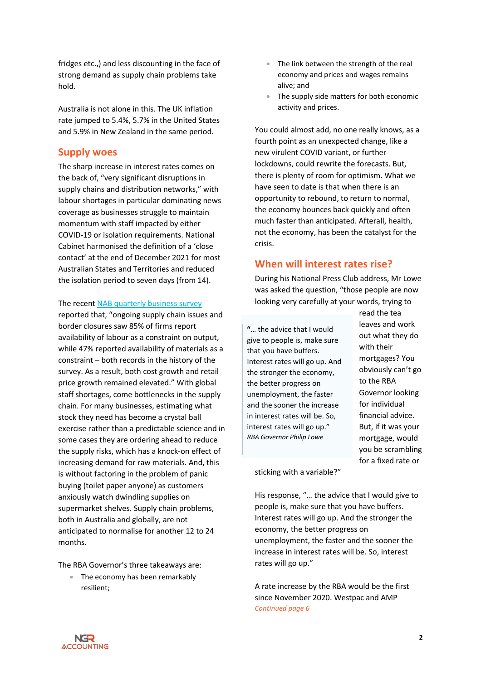fridges etc.,) and less discounting in the face of strong demand as supply chain problems take hold.

Australia is not alone in this. The UK inflation rate jumped to 5.4%, 5.7% in the United States and 5.9% in New Zealand in the same period.

#### <span id="page-1-0"></span>**Supply woes**

The sharp increase in interest rates comes on the back of, "very significant disruptions in supply chains and distribution networks," with labour shortages in particular dominating news coverage as businesses struggle to maintain momentum with staff impacted by either COVID-19 or isolation requirements. National Cabinet harmonised the definition of a 'close contact' at the end of December 2021 for most Australian States and Territories and reduced the isolation period to seven days (from 14).

The recent [NAB quarterly business survey](https://business.nab.com.au/nab-quarterly-business-survey-december-2021-50997/)

reported that, "ongoing supply chain issues and border closures saw 85% of firms report availability of labour as a constraint on output, while 47% reported availability of materials as a constraint – both records in the history of the survey. As a result, both cost growth and retail price growth remained elevated." With global staff shortages, come bottlenecks in the supply chain. For many businesses, estimating what stock they need has become a crystal ball exercise rather than a predictable science and in some cases they are ordering ahead to reduce the supply risks, which has a knock-on effect of increasing demand for raw materials. And, this is without factoring in the problem of panic buying (toilet paper anyone) as customers anxiously watch dwindling supplies on supermarket shelves. Supply chain problems, both in Australia and globally, are not anticipated to normalise for another 12 to 24 months.

The RBA Governor's three takeaways are:

• The economy has been remarkably resilient;

- The link between the strength of the real economy and prices and wages remains alive; and
- The supply side matters for both economic activity and prices.

You could almost add, no one really knows, as a fourth point as an unexpected change, like a new virulent COVID variant, or further lockdowns, could rewrite the forecasts. But, there is plenty of room for optimism. What we have seen to date is that when there is an opportunity to rebound, to return to normal, the economy bounces back quickly and often much faster than anticipated. Afterall, health, not the economy, has been the catalyst for the crisis.

### <span id="page-1-1"></span>**When will interest rates rise?**

During his National Press Club address, Mr Lowe was asked the question, "those people are now looking very carefully at your words, trying to

**"**… the advice that I would give to people is, make sure that you have buffers. Interest rates will go up. And the stronger the economy, the better progress on unemployment, the faster and the sooner the increase in interest rates will be. So, interest rates will go up." *RBA Governor Philip Lowe*

read the tea leaves and work out what they do with their mortgages? You obviously can't go to the RBA Governor looking for individual financial advice. But, if it was your mortgage, would you be scrambling for a fixed rate or

sticking with a variable?"

His response, "… the advice that I would give to people is, make sure that you have buffers. Interest rates will go up. And the stronger the economy, the better progress on unemployment, the faster and the sooner the increase in interest rates will be. So, interest rates will go up."

A rate increase by the RBA would be the first since November 2020. Westpac and AMP *Continued page 6*

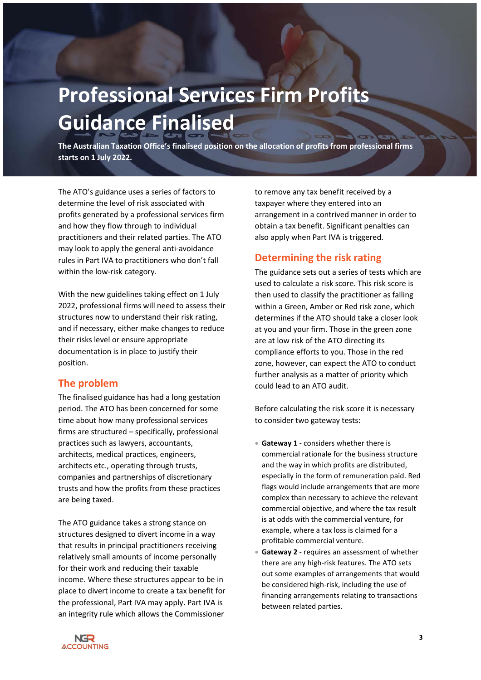# <span id="page-2-0"></span>**Professional Services Firm Profits Guidance Finalised**

**The Australian Taxation Office's finalised position on the allocation of profits from professional firms starts on 1 July 2022.**

The ATO's guidance uses a series of factors to determine the level of risk associated with profits generated by a professional services firm and how they flow through to individual practitioners and their related parties. The ATO may look to apply the general anti-avoidance rules in Part IVA to practitioners who don't fall within the low-risk category.

With the new guidelines taking effect on 1 July 2022, professional firms will need to assess their structures now to understand their risk rating, and if necessary, either make changes to reduce their risks level or ensure appropriate documentation is in place to justify their position.

### <span id="page-2-1"></span>**The problem**

The finalised guidance has had a long gestation period. The ATO has been concerned for some time about how many professional services firms are structured – specifically, professional practices such as lawyers, accountants, architects, medical practices, engineers, architects etc., operating through trusts, companies and partnerships of discretionary trusts and how the profits from these practices are being taxed.

The ATO guidance takes a strong stance on structures designed to divert income in a way that results in principal practitioners receiving relatively small amounts of income personally for their work and reducing their taxable income. Where these structures appear to be in place to divert income to create a tax benefit for the professional, Part IVA may apply. Part IVA is an integrity rule which allows the Commissioner

to remove any tax benefit received by a taxpayer where they entered into an arrangement in a contrived manner in order to obtain a tax benefit. Significant penalties can also apply when Part IVA is triggered.

## <span id="page-2-2"></span>**Determining the risk rating**

The guidance sets out a series of tests which are used to calculate a risk score. This risk score is then used to classify the practitioner as falling within a Green, Amber or Red risk zone, which determines if the ATO should take a closer look at you and your firm. Those in the green zone are at low risk of the ATO directing its compliance efforts to you. Those in the red zone, however, can expect the ATO to conduct further analysis as a matter of priority which could lead to an ATO audit.

Before calculating the risk score it is necessary to consider two gateway tests:

- **Gateway 1** considers whether there is commercial rationale for the business structure and the way in which profits are distributed, especially in the form of remuneration paid. Red flags would include arrangements that are more complex than necessary to achieve the relevant commercial objective, and where the tax result is at odds with the commercial venture, for example, where a tax loss is claimed for a profitable commercial venture.
- Gateway 2 requires an assessment of whether there are any high-risk features. The ATO sets out some examples of arrangements that would be considered high-risk, including the use of financing arrangements relating to transactions between related parties.

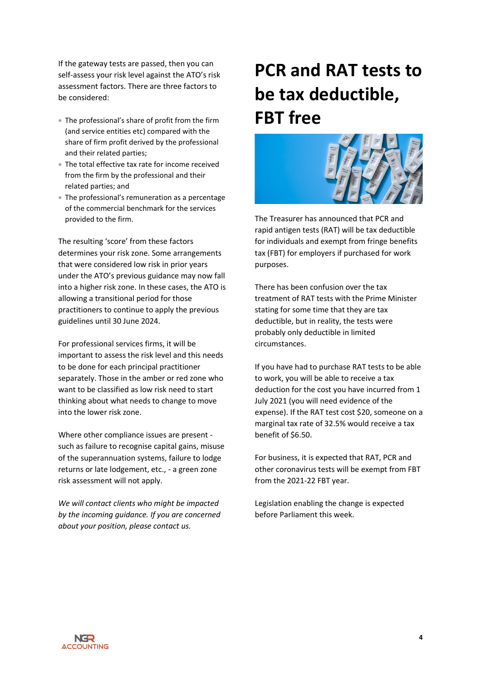If the gateway tests are passed, then you can self-assess your risk level against the ATO's risk assessment factors. There are three factors to be considered:

- The professional's share of profit from the firm (and service entities etc) compared with the share of firm profit derived by the professional and their related parties;
- The total effective tax rate for income received from the firm by the professional and their related parties; and
- The professional's remuneration as a percentage of the commercial benchmark for the services provided to the firm.

The resulting 'score' from these factors determines your risk zone. Some arrangements that were considered low risk in prior years under the ATO's previous guidance may now fall into a higher risk zone. In these cases, the ATO is allowing a transitional period for those practitioners to continue to apply the previous guidelines until 30 June 2024.

For professional services firms, it will be important to assess the risk level and this needs to be done for each principal practitioner separately. Those in the amber or red zone who want to be classified as low risk need to start thinking about what needs to change to move into the lower risk zone.

Where other compliance issues are present such as failure to recognise capital gains, misuse of the superannuation systems, failure to lodge returns or late lodgement, etc., - a green zone risk assessment will not apply.

*We will contact clients who might be impacted by the incoming guidance. If you are concerned about your position, please contact us.*

# <span id="page-3-0"></span>**PCR and RAT tests to be tax deductible, FBT free**



The Treasurer has announced that PCR and rapid antigen tests (RAT) will be tax deductible for individuals and exempt from fringe benefits tax (FBT) for employers if purchased for work purposes.

There has been confusion over the tax treatment of RAT tests with the Prime Minister stating for some time that they are tax deductible, but in reality, the tests were probably only deductible in limited circumstances.

If you have had to purchase RAT tests to be able to work, you will be able to receive a tax deduction for the cost you have incurred from 1 July 2021 (you will need evidence of the expense). If the RAT test cost \$20, someone on a marginal tax rate of 32.5% would receive a tax benefit of \$6.50.

For business, it is expected that RAT, PCR and other coronavirus tests will be exempt from FBT from the 2021-22 FBT year.

Legislation enabling the change is expected before Parliament this week.

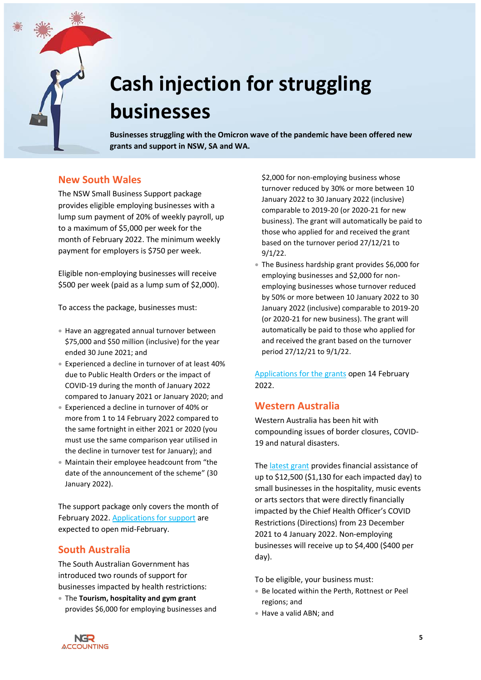

# <span id="page-4-0"></span>**Cash injection for struggling businesses**

**Businesses struggling with the Omicron wave of the pandemic have been offered new grants and support in NSW, SA and WA.**

### <span id="page-4-1"></span>**New South Wales**

The NSW Small Business Support package provides eligible employing businesses with a lump sum payment of 20% of weekly payroll, up to a maximum of \$5,000 per week for the month of February 2022. The minimum weekly payment for employers is \$750 per week.

Eligible non-employing businesses will receive \$500 per week (paid as a lump sum of \$2,000).

To access the package, businesses must:

- Have an aggregated annual turnover between \$75,000 and \$50 million (inclusive) for the year ended 30 June 2021; and
- Experienced a decline in turnover of at least 40% due to Public Health Orders or the impact of COVID-19 during the month of January 2022 compared to January 2021 or January 2020; and
- Experienced a decline in turnover of 40% or more from 1 to 14 February 2022 compared to the same fortnight in either 2021 or 2020 (you must use the same comparison year utilised in the decline in turnover test for January); and
- Maintain their employee headcount from "the date of the announcement of the scheme" (30 January 2022).

The support package only covers the month of February 2022. [Applications for support](https://www.service.nsw.gov.au/transaction/2022-small-business-support-program) are expected to open mid-February.

### <span id="page-4-2"></span>**South Australia**

The South Australian Government has introduced two rounds of support for businesses impacted by health restrictions:

• The **Tourism, hospitality and gym grant** provides \$6,000 for employing businesses and \$2,000 for non-employing business whose turnover reduced by 30% or more between 10 January 2022 to 30 January 2022 (inclusive) comparable to 2019-20 (or 2020-21 for new business). The grant will automatically be paid to those who applied for and received the grant based on the turnover period 27/12/21 to 9/1/22.

• The Business hardship grant provides \$6,000 for employing businesses and \$2,000 for nonemploying businesses whose turnover reduced by 50% or more between 10 January 2022 to 30 January 2022 (inclusive) comparable to 2019-20 (or 2020-21 for new business). The grant will automatically be paid to those who applied for and received the grant based on the turnover period 27/12/21 to 9/1/22.

Applications [for the grants](https://www.treasury.sa.gov.au/Growing-South-Australia/COVID-19/january-2022/Additional-Rounds-January-2022) open 14 February 2022.

### <span id="page-4-3"></span>**Western Australia**

Western Australia has been hit with compounding issues of border closures, COVID-19 and natural disasters.

Th[e latest grant](https://www.smallbusiness.wa.gov.au/assistance-grant) provides financial assistance of up to \$12,500 (\$1,130 for each impacted day) to small businesses in the hospitality, music events or arts sectors that were directly financially impacted by the Chief Health Officer's COVID Restrictions (Directions) from 23 December 2021 to 4 January 2022. Non-employing businesses will receive up to \$4,400 (\$400 per day).

To be eligible, your business must:

- Be located within the Perth, Rottnest or Peel regions; and
- Have a valid ABN; and